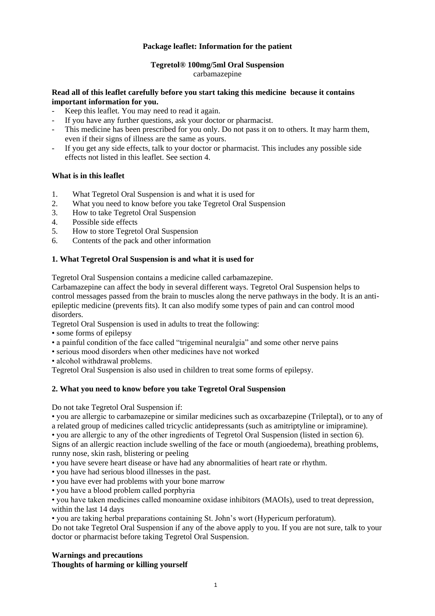# **Package leaflet: Information for the patient**

# **Tegretol® 100mg/5ml Oral Suspension**

carbamazepine

#### **Read all of this leaflet carefully before you start taking this medicine because it contains important information for you.**

- Keep this leaflet. You may need to read it again.
- If you have any further questions, ask your doctor or pharmacist.
- This medicine has been prescribed for you only. Do not pass it on to others. It may harm them, even if their signs of illness are the same as yours.
- If you get any side effects, talk to your doctor or pharmacist. This includes any possible side effects not listed in this leaflet. See section 4.

# **What is in this leaflet**

- 1. What Tegretol Oral Suspension is and what it is used for
- 2. What you need to know before you take Tegretol Oral Suspension
- 3. How to take Tegretol Oral Suspension
- 4. Possible side effects
- 5. How to store Tegretol Oral Suspension
- 6. Contents of the pack and other information

# **1. What Tegretol Oral Suspension is and what it is used for**

Tegretol Oral Suspension contains a medicine called carbamazepine.

Carbamazepine can affect the body in several different ways. Tegretol Oral Suspension helps to control messages passed from the brain to muscles along the nerve pathways in the body. It is an antiepileptic medicine (prevents fits). It can also modify some types of pain and can control mood disorders.

Tegretol Oral Suspension is used in adults to treat the following:

- some forms of epilepsy
- a painful condition of the face called "trigeminal neuralgia" and some other nerve pains
- serious mood disorders when other medicines have not worked
- alcohol withdrawal problems.

Tegretol Oral Suspension is also used in children to treat some forms of epilepsy.

#### **2. What you need to know before you take Tegretol Oral Suspension**

Do not take Tegretol Oral Suspension if:

• you are allergic to carbamazepine or similar medicines such as oxcarbazepine (Trileptal), or to any of a related group of medicines called tricyclic antidepressants (such as amitriptyline or imipramine). • you are allergic to any of the other ingredients of Tegretol Oral Suspension (listed in section 6).

Signs of an allergic reaction include swelling of the face or mouth (angioedema), breathing problems, runny nose, skin rash, blistering or peeling

• you have severe heart disease or have had any abnormalities of heart rate or rhythm.

- you have had serious blood illnesses in the past.
- you have ever had problems with your bone marrow
- you have a blood problem called porphyria

• you have taken medicines called monoamine oxidase inhibitors (MAOIs), used to treat depression, within the last 14 days

• you are taking herbal preparations containing St. John's wort (Hypericum perforatum).

Do not take Tegretol Oral Suspension if any of the above apply to you. If you are not sure, talk to your doctor or pharmacist before taking Tegretol Oral Suspension.

# **Warnings and precautions Thoughts of harming or killing yourself**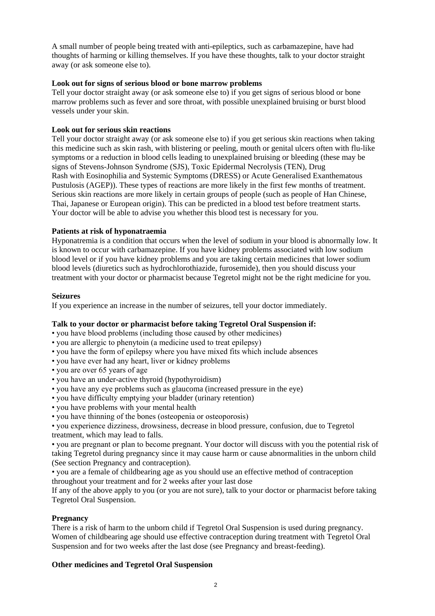A small number of people being treated with anti-epileptics, such as carbamazepine, have had thoughts of harming or killing themselves. If you have these thoughts, talk to your doctor straight away (or ask someone else to).

#### **Look out for signs of serious blood or bone marrow problems**

Tell your doctor straight away (or ask someone else to) if you get signs of serious blood or bone marrow problems such as fever and sore throat, with possible unexplained bruising or burst blood vessels under your skin.

# **Look out for serious skin reactions**

Tell your doctor straight away (or ask someone else to) if you get serious skin reactions when taking this medicine such as skin rash, with blistering or peeling, mouth or genital ulcers often with flu-like symptoms or a reduction in blood cells leading to unexplained bruising or bleeding (these may be signs of Stevens-Johnson Syndrome (SJS), Toxic Epidermal Necrolysis (TEN), Drug Rash with Eosinophilia and Systemic Symptoms (DRESS) or Acute Generalised Exanthematous Pustulosis (AGEP)). These types of reactions are more likely in the first few months of treatment. Serious skin reactions are more likely in certain groups of people (such as people of Han Chinese, Thai, Japanese or European origin). This can be predicted in a blood test before treatment starts. Your doctor will be able to advise you whether this blood test is necessary for you.

# **Patients at risk of hyponatraemia**

Hyponatremia is a condition that occurs when the level of sodium in your blood is abnormally low. It is known to occur with carbamazepine. If you have kidney problems associated with low sodium blood level or if you have kidney problems and you are taking certain medicines that lower sodium blood levels (diuretics such as hydrochlorothiazide, furosemide), then you should discuss your treatment with your doctor or pharmacist because Tegretol might not be the right medicine for you.

#### **Seizures**

If you experience an increase in the number of seizures, tell your doctor immediately.

#### **Talk to your doctor or pharmacist before taking Tegretol Oral Suspension if:**

- you have blood problems (including those caused by other medicines)
- you are allergic to phenytoin (a medicine used to treat epilepsy)
- you have the form of epilepsy where you have mixed fits which include absences
- you have ever had any heart, liver or kidney problems
- you are over 65 years of age
- you have an under-active thyroid (hypothyroidism)
- you have any eye problems such as glaucoma (increased pressure in the eye)
- you have difficulty emptying your bladder (urinary retention)
- you have problems with your mental health
- you have thinning of the bones (osteopenia or osteoporosis)

• you experience dizziness, drowsiness, decrease in blood pressure, confusion, due to Tegretol treatment, which may lead to falls.

• you are pregnant or plan to become pregnant. Your doctor will discuss with you the potential risk of taking Tegretol during pregnancy since it may cause harm or cause abnormalities in the unborn child (See section Pregnancy and contraception).

• you are a female of childbearing age as you should use an effective method of contraception throughout your treatment and for 2 weeks after your last dose

If any of the above apply to you (or you are not sure), talk to your doctor or pharmacist before taking Tegretol Oral Suspension.

# **Pregnancy**

There is a risk of harm to the unborn child if Tegretol Oral Suspension is used during pregnancy. Women of childbearing age should use effective contraception during treatment with Tegretol Oral Suspension and for two weeks after the last dose (see Pregnancy and breast-feeding).

# **Other medicines and Tegretol Oral Suspension**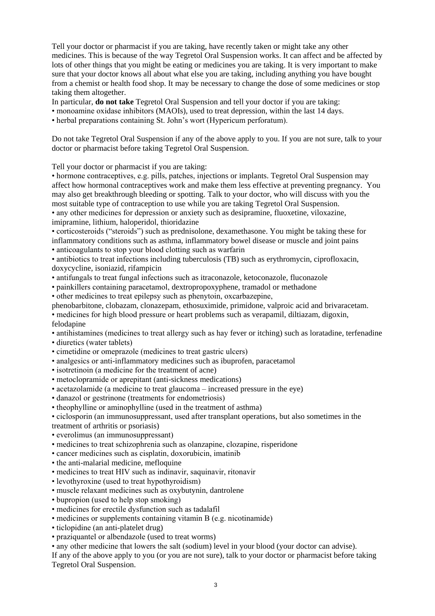Tell your doctor or pharmacist if you are taking, have recently taken or might take any other medicines. This is because of the way Tegretol Oral Suspension works. It can affect and be affected by lots of other things that you might be eating or medicines you are taking. It is very important to make sure that your doctor knows all about what else you are taking, including anything you have bought from a chemist or health food shop. It may be necessary to change the dose of some medicines or stop taking them altogether.

In particular, **do not take** Tegretol Oral Suspension and tell your doctor if you are taking:

• monoamine oxidase inhibitors (MAOIs), used to treat depression, within the last 14 days.

• herbal preparations containing St. John's wort (Hypericum perforatum).

Do not take Tegretol Oral Suspension if any of the above apply to you. If you are not sure, talk to your doctor or pharmacist before taking Tegretol Oral Suspension.

Tell your doctor or pharmacist if you are taking:

• hormone contraceptives, e.g. pills, patches, injections or implants. Tegretol Oral Suspension may affect how hormonal contraceptives work and make them less effective at preventing pregnancy. You may also get breakthrough bleeding or spotting. Talk to your doctor, who will discuss with you the most suitable type of contraception to use while you are taking Tegretol Oral Suspension. • any other medicines for depression or anxiety such as desipramine, fluoxetine, viloxazine,

imipramine, lithium, haloperidol, thioridazine

• corticosteroids ("steroids") such as prednisolone, dexamethasone. You might be taking these for inflammatory conditions such as asthma, inflammatory bowel disease or muscle and joint pains

• anticoagulants to stop your blood clotting such as warfarin

• antibiotics to treat infections including tuberculosis (TB) such as erythromycin, ciprofloxacin, doxycycline, isoniazid, rifampicin

- antifungals to treat fungal infections such as itraconazole, ketoconazole, fluconazole
- painkillers containing paracetamol, dextropropoxyphene, tramadol or methadone

• other medicines to treat epilepsy such as phenytoin, oxcarbazepine,

phenobarbitone, clobazam, clonazepam, ethosuximide, primidone, valproic acid and brivaracetam.

• medicines for high blood pressure or heart problems such as verapamil, diltiazam, digoxin, felodapine

• antihistamines (medicines to treat allergy such as hay fever or itching) such as loratadine, terfenadine • diuretics (water tablets)

- cimetidine or omeprazole (medicines to treat gastric ulcers)
- analgesics or anti-inflammatory medicines such as ibuprofen, paracetamol
- isotretinoin (a medicine for the treatment of acne)
- metoclopramide or aprepitant (anti-sickness medications)
- acetazolamide (a medicine to treat glaucoma increased pressure in the eye)
- danazol or gestrinone (treatments for endometriosis)
- theophylline or aminophylline (used in the treatment of asthma)

• ciclosporin (an immunosuppressant, used after transplant operations, but also sometimes in the treatment of arthritis or psoriasis)

- everolimus (an immunosuppressant)
- medicines to treat schizophrenia such as olanzapine, clozapine, risperidone
- cancer medicines such as cisplatin, doxorubicin, imatinib
- the anti-malarial medicine, mefloquine
- medicines to treat HIV such as indinavir, saquinavir, ritonavir
- levothyroxine (used to treat hypothyroidism)
- muscle relaxant medicines such as oxybutynin, dantrolene
- bupropion (used to help stop smoking)
- medicines for erectile dysfunction such as tadalafil
- medicines or supplements containing vitamin B (e.g. nicotinamide)
- ticlopidine (an anti-platelet drug)
- praziquantel or albendazole (used to treat worms)

• any other medicine that lowers the salt (sodium) level in your blood (your doctor can advise).

If any of the above apply to you (or you are not sure), talk to your doctor or pharmacist before taking Tegretol Oral Suspension.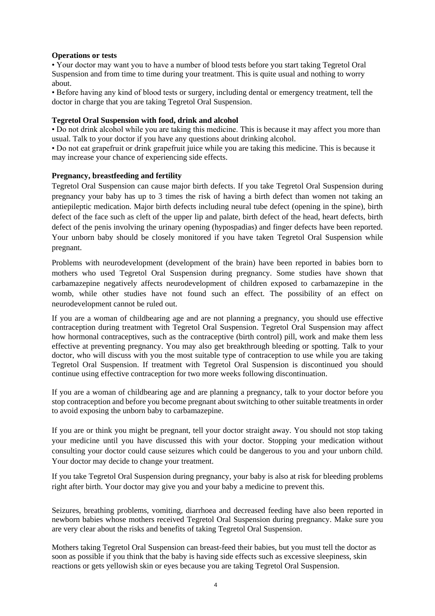#### **Operations or tests**

• Your doctor may want you to have a number of blood tests before you start taking Tegretol Oral Suspension and from time to time during your treatment. This is quite usual and nothing to worry about.

• Before having any kind of blood tests or surgery, including dental or emergency treatment, tell the doctor in charge that you are taking Tegretol Oral Suspension.

#### **Tegretol Oral Suspension with food, drink and alcohol**

• Do not drink alcohol while you are taking this medicine. This is because it may affect you more than usual. Talk to your doctor if you have any questions about drinking alcohol.

• Do not eat grapefruit or drink grapefruit juice while you are taking this medicine. This is because it may increase your chance of experiencing side effects.

#### **Pregnancy, breastfeeding and fertility**

Tegretol Oral Suspension can cause major birth defects. If you take Tegretol Oral Suspension during pregnancy your baby has up to 3 times the risk of having a birth defect than women not taking an antiepileptic medication. Major birth defects including neural tube defect (opening in the spine), birth defect of the face such as cleft of the upper lip and palate, birth defect of the head, heart defects, birth defect of the penis involving the urinary opening (hypospadias) and finger defects have been reported. Your unborn baby should be closely monitored if you have taken Tegretol Oral Suspension while pregnant.

Problems with neurodevelopment (development of the brain) have been reported in babies born to mothers who used Tegretol Oral Suspension during pregnancy. Some studies have shown that carbamazepine negatively affects neurodevelopment of children exposed to carbamazepine in the womb, while other studies have not found such an effect. The possibility of an effect on neurodevelopment cannot be ruled out.

If you are a woman of childbearing age and are not planning a pregnancy, you should use effective contraception during treatment with Tegretol Oral Suspension. Tegretol Oral Suspension may affect how hormonal contraceptives, such as the contraceptive (birth control) pill, work and make them less effective at preventing pregnancy. You may also get breakthrough bleeding or spotting. Talk to your doctor, who will discuss with you the most suitable type of contraception to use while you are taking Tegretol Oral Suspension. If treatment with Tegretol Oral Suspension is discontinued you should continue using effective contraception for two more weeks following discontinuation.

If you are a woman of childbearing age and are planning a pregnancy, talk to your doctor before you stop contraception and before you become pregnant about switching to other suitable treatments in order to avoid exposing the unborn baby to carbamazepine.

If you are or think you might be pregnant, tell your doctor straight away. You should not stop taking your medicine until you have discussed this with your doctor. Stopping your medication without consulting your doctor could cause seizures which could be dangerous to you and your unborn child. Your doctor may decide to change your treatment.

If you take Tegretol Oral Suspension during pregnancy, your baby is also at risk for bleeding problems right after birth. Your doctor may give you and your baby a medicine to prevent this.

Seizures, breathing problems, vomiting, diarrhoea and decreased feeding have also been reported in newborn babies whose mothers received Tegretol Oral Suspension during pregnancy. Make sure you are very clear about the risks and benefits of taking Tegretol Oral Suspension.

Mothers taking Tegretol Oral Suspension can breast-feed their babies, but you must tell the doctor as soon as possible if you think that the baby is having side effects such as excessive sleepiness, skin reactions or gets yellowish skin or eyes because you are taking Tegretol Oral Suspension.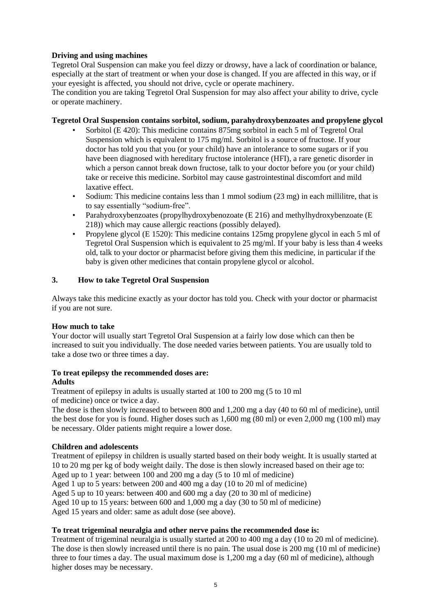# **Driving and using machines**

Tegretol Oral Suspension can make you feel dizzy or drowsy, have a lack of coordination or balance, especially at the start of treatment or when your dose is changed. If you are affected in this way, or if your eyesight is affected, you should not drive, cycle or operate machinery.

The condition you are taking Tegretol Oral Suspension for may also affect your ability to drive, cycle or operate machinery.

# **Tegretol Oral Suspension contains sorbitol, sodium, parahydroxybenzoates and propylene glycol**

- Sorbitol (E 420): This medicine contains 875mg sorbitol in each 5 ml of Tegretol Oral Suspension which is equivalent to 175 mg/ml. Sorbitol is a source of fructose. If your doctor has told you that you (or your child) have an intolerance to some sugars or if you have been diagnosed with hereditary fructose intolerance (HFI), a rare genetic disorder in which a person cannot break down fructose, talk to your doctor before you (or your child) take or receive this medicine. Sorbitol may cause gastrointestinal discomfort and mild laxative effect.
- Sodium: This medicine contains less than 1 mmol sodium (23 mg) in each millilitre, that is to say essentially "sodium-free".
- Parahydroxybenzoates (propylhydroxybenozoate (E 216) and methylhydroxybenzoate (E 218)) which may cause allergic reactions (possibly delayed).
- Propylene glycol (E 1520): This medicine contains 125mg propylene glycol in each 5 ml of Tegretol Oral Suspension which is equivalent to 25 mg/ml. If your baby is less than 4 weeks old, talk to your doctor or pharmacist before giving them this medicine, in particular if the baby is given other medicines that contain propylene glycol or alcohol.

# **3. How to take Tegretol Oral Suspension**

Always take this medicine exactly as your doctor has told you. Check with your doctor or pharmacist if you are not sure.

# **How much to take**

Your doctor will usually start Tegretol Oral Suspension at a fairly low dose which can then be increased to suit you individually. The dose needed varies between patients. You are usually told to take a dose two or three times a day.

#### **To treat epilepsy the recommended doses are: Adults**

Treatment of epilepsy in adults is usually started at 100 to 200 mg (5 to 10 ml of medicine) once or twice a day.

The dose is then slowly increased to between 800 and 1,200 mg a day (40 to 60 ml of medicine), until the best dose for you is found. Higher doses such as 1,600 mg (80 ml) or even 2,000 mg (100 ml) may be necessary. Older patients might require a lower dose.

# **Children and adolescents**

Treatment of epilepsy in children is usually started based on their body weight. It is usually started at 10 to 20 mg per kg of body weight daily. The dose is then slowly increased based on their age to: Aged up to 1 year: between 100 and 200 mg a day (5 to 10 ml of medicine) Aged 1 up to 5 years: between 200 and 400 mg a day (10 to 20 ml of medicine) Aged 5 up to 10 years: between 400 and 600 mg a day (20 to 30 ml of medicine)

Aged 10 up to 15 years: between 600 and 1,000 mg a day (30 to 50 ml of medicine)

Aged 15 years and older: same as adult dose (see above).

#### **To treat trigeminal neuralgia and other nerve pains the recommended dose is:**

Treatment of trigeminal neuralgia is usually started at 200 to 400 mg a day (10 to 20 ml of medicine). The dose is then slowly increased until there is no pain. The usual dose is 200 mg (10 ml of medicine) three to four times a day. The usual maximum dose is 1,200 mg a day (60 ml of medicine), although higher doses may be necessary.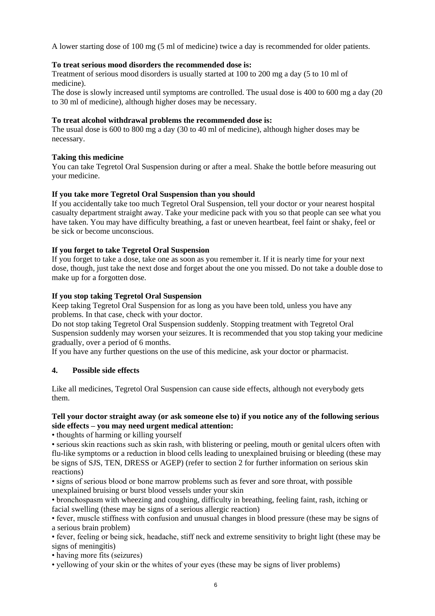A lower starting dose of 100 mg (5 ml of medicine) twice a day is recommended for older patients.

# **To treat serious mood disorders the recommended dose is:**

Treatment of serious mood disorders is usually started at 100 to 200 mg a day (5 to 10 ml of medicine).

The dose is slowly increased until symptoms are controlled. The usual dose is 400 to 600 mg a day (20 to 30 ml of medicine), although higher doses may be necessary.

# **To treat alcohol withdrawal problems the recommended dose is:**

The usual dose is 600 to 800 mg a day (30 to 40 ml of medicine), although higher doses may be necessary.

# **Taking this medicine**

You can take Tegretol Oral Suspension during or after a meal. Shake the bottle before measuring out your medicine.

# **If you take more Tegretol Oral Suspension than you should**

If you accidentally take too much Tegretol Oral Suspension, tell your doctor or your nearest hospital casualty department straight away. Take your medicine pack with you so that people can see what you have taken. You may have difficulty breathing, a fast or uneven heartbeat, feel faint or shaky, feel or be sick or become unconscious.

# **If you forget to take Tegretol Oral Suspension**

If you forget to take a dose, take one as soon as you remember it. If it is nearly time for your next dose, though, just take the next dose and forget about the one you missed. Do not take a double dose to make up for a forgotten dose.

# **If you stop taking Tegretol Oral Suspension**

Keep taking Tegretol Oral Suspension for as long as you have been told, unless you have any problems. In that case, check with your doctor.

Do not stop taking Tegretol Oral Suspension suddenly. Stopping treatment with Tegretol Oral Suspension suddenly may worsen your seizures. It is recommended that you stop taking your medicine gradually, over a period of 6 months.

If you have any further questions on the use of this medicine, ask your doctor or pharmacist.

#### **4. Possible side effects**

Like all medicines, Tegretol Oral Suspension can cause side effects, although not everybody gets them.

# **Tell your doctor straight away (or ask someone else to) if you notice any of the following serious side effects – you may need urgent medical attention:**

• thoughts of harming or killing yourself

• serious skin reactions such as skin rash, with blistering or peeling, mouth or genital ulcers often with flu-like symptoms or a reduction in blood cells leading to unexplained bruising or bleeding (these may be signs of SJS, TEN, DRESS or AGEP) (refer to section 2 for further information on serious skin reactions)

• signs of serious blood or bone marrow problems such as fever and sore throat, with possible unexplained bruising or burst blood vessels under your skin

• bronchospasm with wheezing and coughing, difficulty in breathing, feeling faint, rash, itching or facial swelling (these may be signs of a serious allergic reaction)

• fever, muscle stiffness with confusion and unusual changes in blood pressure (these may be signs of a serious brain problem)

• fever, feeling or being sick, headache, stiff neck and extreme sensitivity to bright light (these may be signs of meningitis)

• having more fits (seizures)

• yellowing of your skin or the whites of your eyes (these may be signs of liver problems)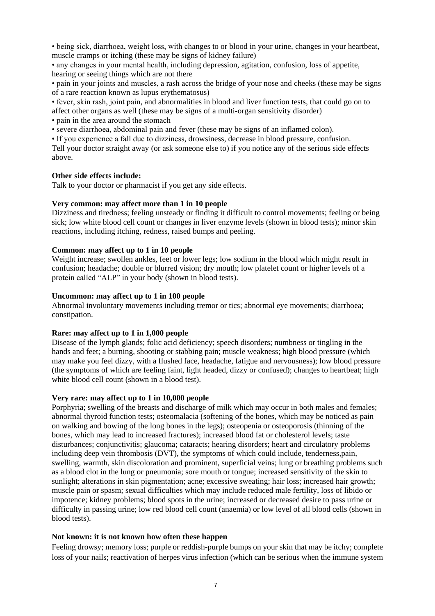• being sick, diarrhoea, weight loss, with changes to or blood in your urine, changes in your heartbeat, muscle cramps or itching (these may be signs of kidney failure)

• any changes in your mental health, including depression, agitation, confusion, loss of appetite, hearing or seeing things which are not there

• pain in your joints and muscles, a rash across the bridge of your nose and cheeks (these may be signs of a rare reaction known as lupus erythematosus)

• fever, skin rash, joint pain, and abnormalities in blood and liver function tests, that could go on to affect other organs as well (these may be signs of a multi-organ sensitivity disorder)

• pain in the area around the stomach

• severe diarrhoea, abdominal pain and fever (these may be signs of an inflamed colon).

• If you experience a fall due to dizziness, drowsiness, decrease in blood pressure, confusion. Tell your doctor straight away (or ask someone else to) if you notice any of the serious side effects above.

#### **Other side effects include:**

Talk to your doctor or pharmacist if you get any side effects.

#### **Very common: may affect more than 1 in 10 people**

Dizziness and tiredness; feeling unsteady or finding it difficult to control movements; feeling or being sick; low white blood cell count or changes in liver enzyme levels (shown in blood tests); minor skin reactions, including itching, redness, raised bumps and peeling.

# **Common: may affect up to 1 in 10 people**

Weight increase; swollen ankles, feet or lower legs; low sodium in the blood which might result in confusion; headache; double or blurred vision; dry mouth; low platelet count or higher levels of a protein called "ALP" in your body (shown in blood tests).

# **Uncommon: may affect up to 1 in 100 people**

Abnormal involuntary movements including tremor or tics; abnormal eye movements; diarrhoea; constipation.

#### **Rare: may affect up to 1 in 1,000 people**

Disease of the lymph glands; folic acid deficiency; speech disorders; numbness or tingling in the hands and feet; a burning, shooting or stabbing pain; muscle weakness; high blood pressure (which may make you feel dizzy, with a flushed face, headache, fatigue and nervousness); low blood pressure (the symptoms of which are feeling faint, light headed, dizzy or confused); changes to heartbeat; high white blood cell count (shown in a blood test).

#### **Very rare: may affect up to 1 in 10,000 people**

Porphyria; swelling of the breasts and discharge of milk which may occur in both males and females; abnormal thyroid function tests; osteomalacia (softening of the bones, which may be noticed as pain on walking and bowing of the long bones in the legs); osteopenia or osteoporosis (thinning of the bones, which may lead to increased fractures); increased blood fat or cholesterol levels; taste disturbances; conjunctivitis; glaucoma; cataracts; hearing disorders; heart and circulatory problems including deep vein thrombosis (DVT), the symptoms of which could include, tenderness,pain, swelling, warmth, skin discoloration and prominent, superficial veins; lung or breathing problems such as a blood clot in the lung or pneumonia; sore mouth or tongue; increased sensitivity of the skin to sunlight; alterations in skin pigmentation; acne; excessive sweating; hair loss; increased hair growth; muscle pain or spasm; sexual difficulties which may include reduced male fertility, loss of libido or impotence; kidney problems; blood spots in the urine; increased or decreased desire to pass urine or difficulty in passing urine; low red blood cell count (anaemia) or low level of all blood cells (shown in blood tests).

#### **Not known: it is not known how often these happen**

Feeling drowsy; memory loss; purple or reddish-purple bumps on your skin that may be itchy; complete loss of your nails; reactivation of herpes virus infection (which can be serious when the immune system